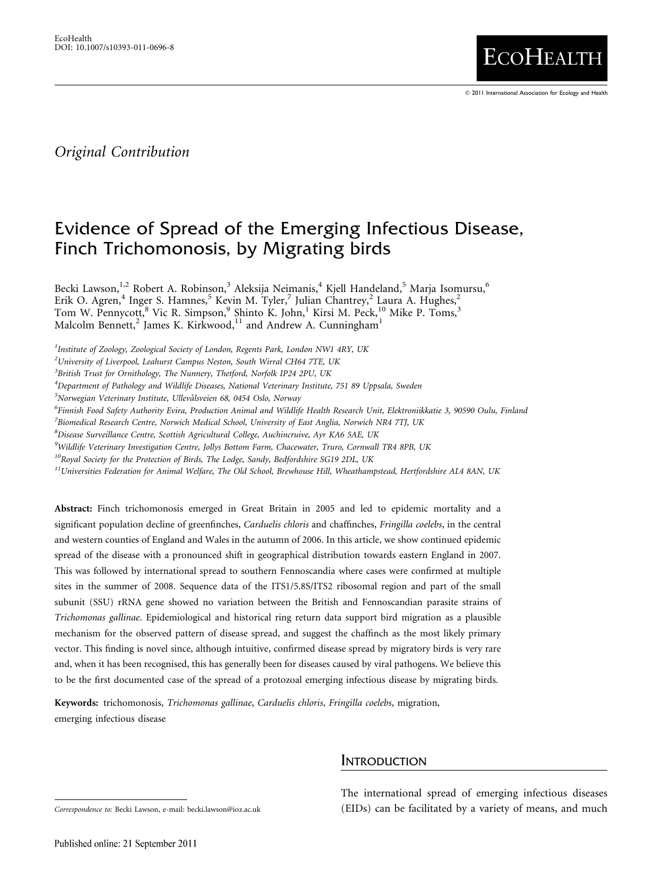$@$  2011 International Association for Ecology and Health

**ECOHEALTH** 

# Original Contribution

# Evidence of Spread of the Emerging Infectious Disease, Finch Trichomonosis, by Migrating birds

Becki Lawson, 1,2 Robert A. Robinson, 3 Aleksija Neimanis, 4 Kjell Handeland, 5 Marja Isomursu, 6 Erik O. Agren,<sup>4</sup> Inger S. Hamnes,<sup>5</sup> Kevin M. Tyler,<sup>7</sup> Julian Chantrey,<sup>2</sup> Laura A. Hughes,<sup>2</sup> Tom W. Pennycott,<sup>8</sup> Vic R. Simpson,<sup>9</sup> Shinto K. John,<sup>1</sup> Kirsi M. Peck,<sup>10</sup> Mike P. Toms,<sup>3</sup> Malcolm Bennett,<sup>2</sup> James K. Kirkwood,<sup>11</sup> and Andrew A. Cunningham<sup>1</sup>

<sup>1</sup>Institute of Zoology, Zoological Society of London, Regents Park, London NW1 4RY, UK

 $^{2}$ University of Liverpool, Leahurst Campus Neston, South Wirral CH64 7TE, UK

 $^3$ British Trust for Ornithology, The Nunnery, Thetford, Norfolk IP24 2PU, UK

<sup>4</sup>Department of Pathology and Wildlife Diseases, National Veterinary Institute, 751 89 Uppsala, Sweden

<sup>5</sup>Norwegian Veterinary Institute, Ullevålsveien 68, 0454 Oslo, Norway

6 Finnish Food Safety Authority Evira, Production Animal and Wildlife Health Research Unit, Elektroniikkatie 3, 90590 Oulu, Finland

<sup>7</sup> Biomedical Research Centre, Norwich Medical School, University of East Anglia, Norwich NR4 7TJ, UK

<sup>8</sup>Disease Surveillance Centre, Scottish Agricultural College, Auchincruive, Ayr KA6 5AE, UK

<sup>9</sup>Wildlife Veterinary Investigation Centre, Jollys Bottom Farm, Chacewater, Truro, Cornwall TR4 8PB, UK

 $^{10}$ Royal Society for the Protection of Birds, The Lodge, Sandy, Bedfordshire SG19 2DL, UK

 $11$ Universities Federation for Animal Welfare, The Old School, Brewhouse Hill, Wheathampstead, Hertfordshire AL4 8AN, UK

Abstract: Finch trichomonosis emerged in Great Britain in 2005 and led to epidemic mortality and a significant population decline of greenfinches, Carduelis chloris and chaffinches, Fringilla coelebs, in the central and western counties of England and Wales in the autumn of 2006. In this article, we show continued epidemic spread of the disease with a pronounced shift in geographical distribution towards eastern England in 2007. This was followed by international spread to southern Fennoscandia where cases were confirmed at multiple sites in the summer of 2008. Sequence data of the ITS1/5.8S/ITS2 ribosomal region and part of the small subunit (SSU) rRNA gene showed no variation between the British and Fennoscandian parasite strains of Trichomonas gallinae. Epidemiological and historical ring return data support bird migration as a plausible mechanism for the observed pattern of disease spread, and suggest the chaffinch as the most likely primary vector. This finding is novel since, although intuitive, confirmed disease spread by migratory birds is very rare and, when it has been recognised, this has generally been for diseases caused by viral pathogens. We believe this to be the first documented case of the spread of a protozoal emerging infectious disease by migrating birds.

Keywords: trichomonosis, Trichomonas gallinae, Carduelis chloris, Fringilla coelebs, migration, emerging infectious disease

# **INTRODUCTION**

The international spread of emerging infectious diseases Correspondence to: Becki Lawson, e-mail: becki.lawson@ioz.ac.uk (EIDs) can be facilitated by a variety of means, and much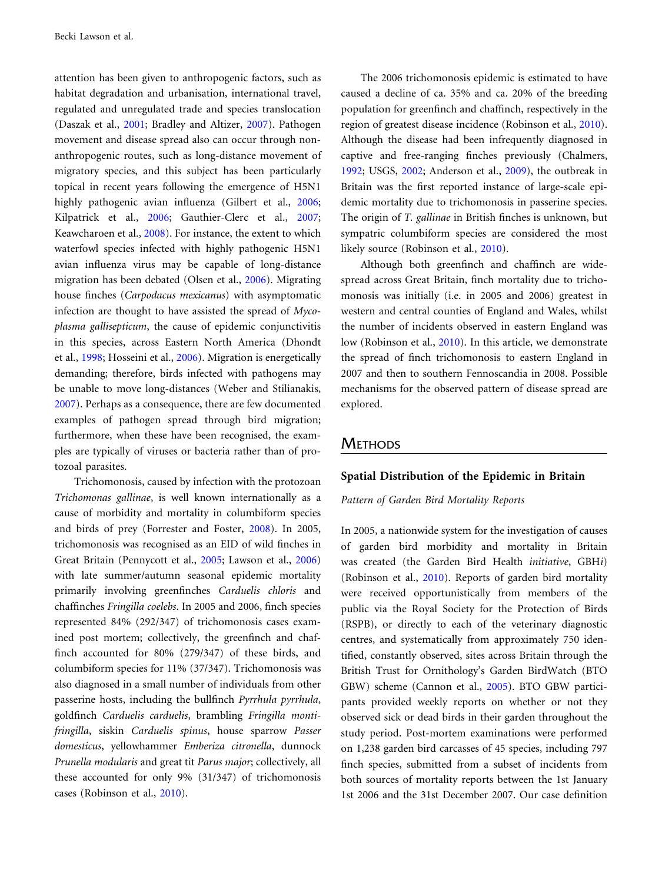attention has been given to anthropogenic factors, such as habitat degradation and urbanisation, international travel, regulated and unregulated trade and species translocation (Daszak et al., [2001](#page-9-0); Bradley and Altizer, [2007\)](#page-9-0). Pathogen movement and disease spread also can occur through nonanthropogenic routes, such as long-distance movement of migratory species, and this subject has been particularly topical in recent years following the emergence of H5N1 highly pathogenic avian influenza (Gilbert et al., [2006;](#page-9-0) Kilpatrick et al., [2006;](#page-9-0) Gauthier-Clerc et al., [2007;](#page-9-0) Keawcharoen et al., [2008](#page-9-0)). For instance, the extent to which waterfowl species infected with highly pathogenic H5N1 avian influenza virus may be capable of long-distance migration has been debated (Olsen et al., [2006\)](#page-10-0). Migrating house finches (Carpodacus mexicanus) with asymptomatic infection are thought to have assisted the spread of Mycoplasma gallisepticum, the cause of epidemic conjunctivitis in this species, across Eastern North America (Dhondt et al., [1998](#page-9-0); Hosseini et al., [2006\)](#page-9-0). Migration is energetically demanding; therefore, birds infected with pathogens may be unable to move long-distances (Weber and Stilianakis, [2007](#page-10-0)). Perhaps as a consequence, there are few documented examples of pathogen spread through bird migration; furthermore, when these have been recognised, the examples are typically of viruses or bacteria rather than of protozoal parasites.

Trichomonosis, caused by infection with the protozoan Trichomonas gallinae, is well known internationally as a cause of morbidity and mortality in columbiform species and birds of prey (Forrester and Foster, [2008\)](#page-9-0). In 2005, trichomonosis was recognised as an EID of wild finches in Great Britain (Pennycott et al., [2005](#page-10-0); Lawson et al., [2006](#page-9-0)) with late summer/autumn seasonal epidemic mortality primarily involving greenfinches Carduelis chloris and chaffinches Fringilla coelebs. In 2005 and 2006, finch species represented 84% (292/347) of trichomonosis cases examined post mortem; collectively, the greenfinch and chaffinch accounted for 80% (279/347) of these birds, and columbiform species for 11% (37/347). Trichomonosis was also diagnosed in a small number of individuals from other passerine hosts, including the bullfinch Pyrrhula pyrrhula, goldfinch Carduelis carduelis, brambling Fringilla montifringilla, siskin Carduelis spinus, house sparrow Passer domesticus, yellowhammer Emberiza citronella, dunnock Prunella modularis and great tit Parus major; collectively, all these accounted for only 9% (31/347) of trichomonosis cases (Robinson et al., [2010\)](#page-10-0).

The 2006 trichomonosis epidemic is estimated to have caused a decline of ca. 35% and ca. 20% of the breeding population for greenfinch and chaffinch, respectively in the region of greatest disease incidence (Robinson et al., [2010\)](#page-10-0). Although the disease had been infrequently diagnosed in captive and free-ranging finches previously (Chalmers, [1992](#page-9-0); USGS, [2002;](#page-10-0) Anderson et al., [2009](#page-9-0)), the outbreak in Britain was the first reported instance of large-scale epidemic mortality due to trichomonosis in passerine species. The origin of T. gallinae in British finches is unknown, but sympatric columbiform species are considered the most likely source (Robinson et al., [2010](#page-10-0)).

Although both greenfinch and chaffinch are widespread across Great Britain, finch mortality due to trichomonosis was initially (i.e. in 2005 and 2006) greatest in western and central counties of England and Wales, whilst the number of incidents observed in eastern England was low (Robinson et al., [2010\)](#page-10-0). In this article, we demonstrate the spread of finch trichomonosis to eastern England in 2007 and then to southern Fennoscandia in 2008. Possible mechanisms for the observed pattern of disease spread are explored.

# **METHODS**

#### Spatial Distribution of the Epidemic in Britain

#### Pattern of Garden Bird Mortality Reports

In 2005, a nationwide system for the investigation of causes of garden bird morbidity and mortality in Britain was created (the Garden Bird Health initiative, GBHi) (Robinson et al., [2010](#page-10-0)). Reports of garden bird mortality were received opportunistically from members of the public via the Royal Society for the Protection of Birds (RSPB), or directly to each of the veterinary diagnostic centres, and systematically from approximately 750 identified, constantly observed, sites across Britain through the British Trust for Ornithology's Garden BirdWatch (BTO GBW) scheme (Cannon et al., [2005\)](#page-9-0). BTO GBW participants provided weekly reports on whether or not they observed sick or dead birds in their garden throughout the study period. Post-mortem examinations were performed on 1,238 garden bird carcasses of 45 species, including 797 finch species, submitted from a subset of incidents from both sources of mortality reports between the 1st January 1st 2006 and the 31st December 2007. Our case definition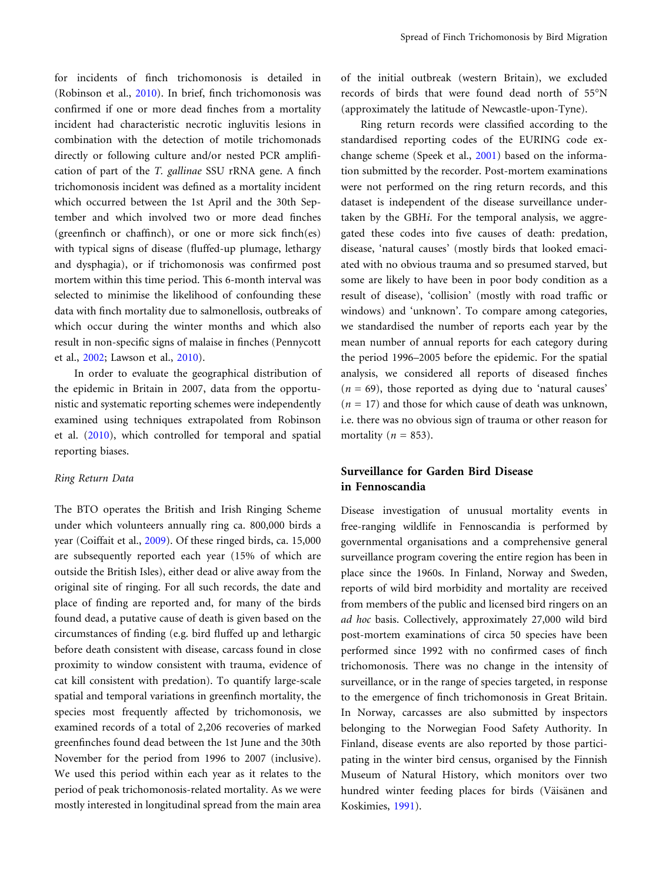for incidents of finch trichomonosis is detailed in (Robinson et al., [2010\)](#page-10-0). In brief, finch trichomonosis was confirmed if one or more dead finches from a mortality incident had characteristic necrotic ingluvitis lesions in combination with the detection of motile trichomonads directly or following culture and/or nested PCR amplification of part of the T. gallinae SSU rRNA gene. A finch trichomonosis incident was defined as a mortality incident which occurred between the 1st April and the 30th September and which involved two or more dead finches (greenfinch or chaffinch), or one or more sick finch(es) with typical signs of disease (fluffed-up plumage, lethargy and dysphagia), or if trichomonosis was confirmed post mortem within this time period. This 6-month interval was selected to minimise the likelihood of confounding these data with finch mortality due to salmonellosis, outbreaks of which occur during the winter months and which also result in non-specific signs of malaise in finches (Pennycott et al., [2002;](#page-10-0) Lawson et al., [2010\)](#page-9-0).

In order to evaluate the geographical distribution of the epidemic in Britain in 2007, data from the opportunistic and systematic reporting schemes were independently examined using techniques extrapolated from Robinson et al. ([2010](#page-10-0)), which controlled for temporal and spatial reporting biases.

#### Ring Return Data

The BTO operates the British and Irish Ringing Scheme under which volunteers annually ring ca. 800,000 birds a year (Coiffait et al., [2009\)](#page-9-0). Of these ringed birds, ca. 15,000 are subsequently reported each year (15% of which are outside the British Isles), either dead or alive away from the original site of ringing. For all such records, the date and place of finding are reported and, for many of the birds found dead, a putative cause of death is given based on the circumstances of finding (e.g. bird fluffed up and lethargic before death consistent with disease, carcass found in close proximity to window consistent with trauma, evidence of cat kill consistent with predation). To quantify large-scale spatial and temporal variations in greenfinch mortality, the species most frequently affected by trichomonosis, we examined records of a total of 2,206 recoveries of marked greenfinches found dead between the 1st June and the 30th November for the period from 1996 to 2007 (inclusive). We used this period within each year as it relates to the period of peak trichomonosis-related mortality. As we were mostly interested in longitudinal spread from the main area

of the initial outbreak (western Britain), we excluded records of birds that were found dead north of 55°N (approximately the latitude of Newcastle-upon-Tyne).

Ring return records were classified according to the standardised reporting codes of the EURING code exchange scheme (Speek et al., [2001\)](#page-10-0) based on the information submitted by the recorder. Post-mortem examinations were not performed on the ring return records, and this dataset is independent of the disease surveillance undertaken by the GBHi. For the temporal analysis, we aggregated these codes into five causes of death: predation, disease, 'natural causes' (mostly birds that looked emaciated with no obvious trauma and so presumed starved, but some are likely to have been in poor body condition as a result of disease), 'collision' (mostly with road traffic or windows) and 'unknown'. To compare among categories, we standardised the number of reports each year by the mean number of annual reports for each category during the period 1996–2005 before the epidemic. For the spatial analysis, we considered all reports of diseased finches  $(n = 69)$ , those reported as dying due to 'natural causes'  $(n = 17)$  and those for which cause of death was unknown, i.e. there was no obvious sign of trauma or other reason for mortality ( $n = 853$ ).

# Surveillance for Garden Bird Disease in Fennoscandia

Disease investigation of unusual mortality events in free-ranging wildlife in Fennoscandia is performed by governmental organisations and a comprehensive general surveillance program covering the entire region has been in place since the 1960s. In Finland, Norway and Sweden, reports of wild bird morbidity and mortality are received from members of the public and licensed bird ringers on an ad hoc basis. Collectively, approximately 27,000 wild bird post-mortem examinations of circa 50 species have been performed since 1992 with no confirmed cases of finch trichomonosis. There was no change in the intensity of surveillance, or in the range of species targeted, in response to the emergence of finch trichomonosis in Great Britain. In Norway, carcasses are also submitted by inspectors belonging to the Norwegian Food Safety Authority. In Finland, disease events are also reported by those participating in the winter bird census, organised by the Finnish Museum of Natural History, which monitors over two hundred winter feeding places for birds (Väisänen and Koskimies, [1991](#page-10-0)).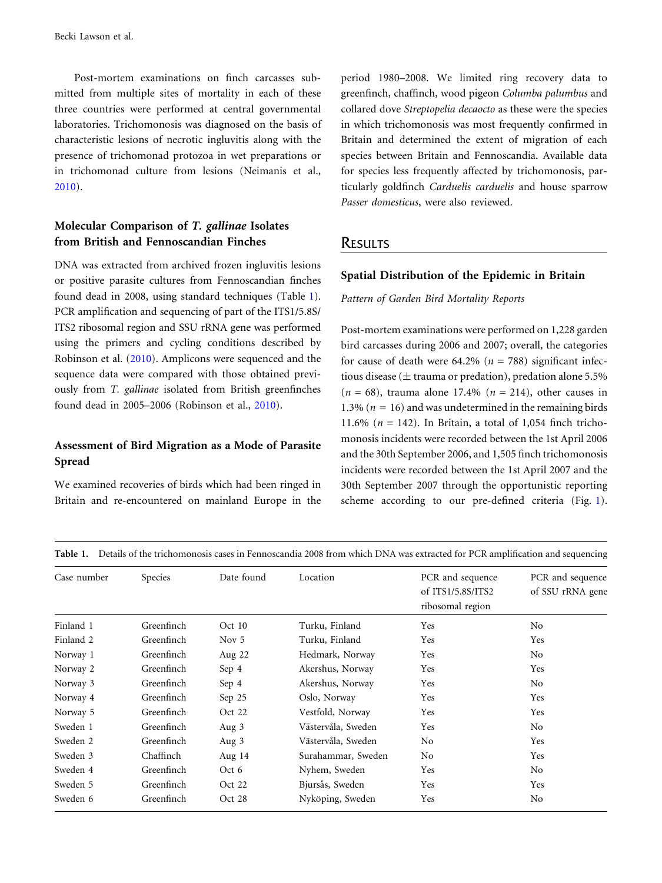<span id="page-3-0"></span>Post-mortem examinations on finch carcasses submitted from multiple sites of mortality in each of these three countries were performed at central governmental laboratories. Trichomonosis was diagnosed on the basis of characteristic lesions of necrotic ingluvitis along with the presence of trichomonad protozoa in wet preparations or in trichomonad culture from lesions (Neimanis et al., [2010](#page-9-0)).

# Molecular Comparison of T. gallinae Isolates from British and Fennoscandian Finches

DNA was extracted from archived frozen ingluvitis lesions or positive parasite cultures from Fennoscandian finches found dead in 2008, using standard techniques (Table 1). PCR amplification and sequencing of part of the ITS1/5.8S/ ITS2 ribosomal region and SSU rRNA gene was performed using the primers and cycling conditions described by Robinson et al. ([2010\)](#page-10-0). Amplicons were sequenced and the sequence data were compared with those obtained previously from T. gallinae isolated from British greenfinches found dead in 2005–2006 (Robinson et al., [2010](#page-10-0)).

# Assessment of Bird Migration as a Mode of Parasite Spread

We examined recoveries of birds which had been ringed in Britain and re-encountered on mainland Europe in the

period 1980–2008. We limited ring recovery data to greenfinch, chaffinch, wood pigeon Columba palumbus and collared dove Streptopelia decaocto as these were the species in which trichomonosis was most frequently confirmed in Britain and determined the extent of migration of each species between Britain and Fennoscandia. Available data for species less frequently affected by trichomonosis, particularly goldfinch Carduelis carduelis and house sparrow Passer domesticus, were also reviewed.

# **RESULTS**

### Spatial Distribution of the Epidemic in Britain

Pattern of Garden Bird Mortality Reports

Post-mortem examinations were performed on 1,228 garden bird carcasses during 2006 and 2007; overall, the categories for cause of death were 64.2% ( $n = 788$ ) significant infectious disease ( $\pm$  trauma or predation), predation alone 5.5%  $(n = 68)$ , trauma alone 17.4%  $(n = 214)$ , other causes in 1.3% ( $n = 16$ ) and was undetermined in the remaining birds 11.6% ( $n = 142$ ). In Britain, a total of 1,054 finch trichomonosis incidents were recorded between the 1st April 2006 and the 30th September 2006, and 1,505 finch trichomonosis incidents were recorded between the 1st April 2007 and the 30th September 2007 through the opportunistic reporting scheme according to our pre-defined criteria (Fig. [1\)](#page-4-0).

| Case number | Species    | Date found | Location           | PCR and sequence<br>of ITS1/5.8S/ITS2 | PCR and sequence<br>of SSU rRNA gene |
|-------------|------------|------------|--------------------|---------------------------------------|--------------------------------------|
|             |            |            |                    | ribosomal region                      |                                      |
| Finland 1   | Greenfinch | Oct 10     | Turku, Finland     | Yes                                   | No                                   |
| Finland 2   | Greenfinch | Nov 5      | Turku, Finland     | Yes                                   | Yes                                  |
| Norway 1    | Greenfinch | Aug 22     | Hedmark, Norway    | Yes                                   | No                                   |
| Norway 2    | Greenfinch | Sep 4      | Akershus, Norway   | Yes                                   | Yes                                  |
| Norway 3    | Greenfinch | Sep 4      | Akershus, Norway   | Yes                                   | No                                   |
| Norway 4    | Greenfinch | Sep 25     | Oslo, Norway       | Yes                                   | Yes                                  |
| Norway 5    | Greenfinch | Oct 22     | Vestfold, Norway   | Yes                                   | Yes                                  |
| Sweden 1    | Greenfinch | Aug 3      | Västervåla, Sweden | Yes                                   | No                                   |
| Sweden 2    | Greenfinch | Aug 3      | Västervåla, Sweden | No                                    | Yes                                  |
| Sweden 3    | Chaffinch  | Aug 14     | Surahammar, Sweden | No                                    | Yes                                  |
| Sweden 4    | Greenfinch | Oct 6      | Nyhem, Sweden      | Yes                                   | No                                   |
| Sweden 5    | Greenfinch | Oct 22     | Bjursås, Sweden    | Yes                                   | Yes                                  |
| Sweden 6    | Greenfinch | Oct 28     | Nyköping, Sweden   | Yes                                   | No                                   |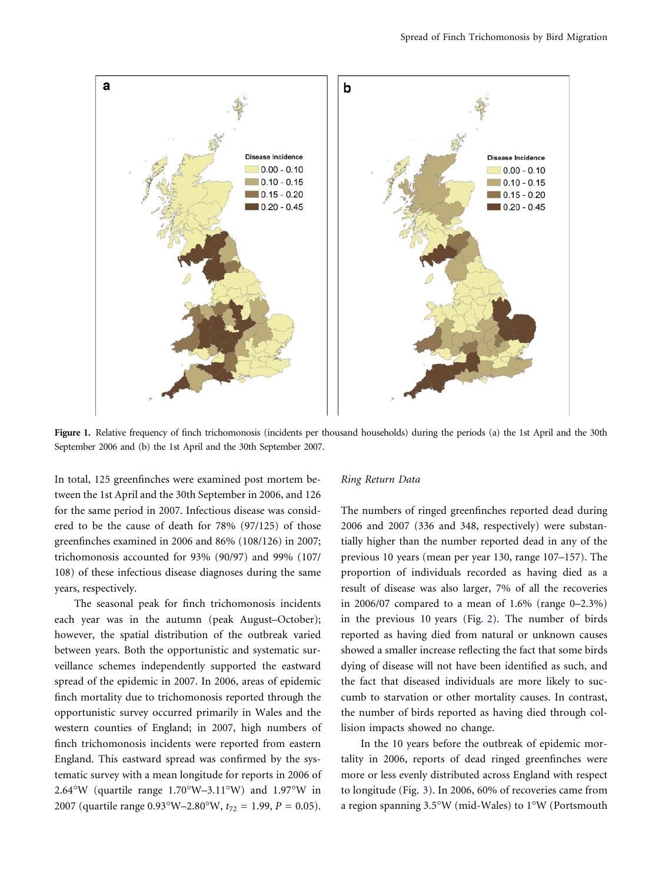<span id="page-4-0"></span>

Figure 1. Relative frequency of finch trichomonosis (incidents per thousand households) during the periods (a) the 1st April and the 30th September 2006 and (b) the 1st April and the 30th September 2007.

In total, 125 greenfinches were examined post mortem between the 1st April and the 30th September in 2006, and 126 for the same period in 2007. Infectious disease was considered to be the cause of death for 78% (97/125) of those greenfinches examined in 2006 and 86% (108/126) in 2007; trichomonosis accounted for 93% (90/97) and 99% (107/ 108) of these infectious disease diagnoses during the same years, respectively.

The seasonal peak for finch trichomonosis incidents each year was in the autumn (peak August–October); however, the spatial distribution of the outbreak varied between years. Both the opportunistic and systematic surveillance schemes independently supported the eastward spread of the epidemic in 2007. In 2006, areas of epidemic finch mortality due to trichomonosis reported through the opportunistic survey occurred primarily in Wales and the western counties of England; in 2007, high numbers of finch trichomonosis incidents were reported from eastern England. This eastward spread was confirmed by the systematic survey with a mean longitude for reports in 2006 of 2.64°W (quartile range  $1.70^{\circ}$ W–3.11°W) and  $1.97^{\circ}$ W in 2007 (quartile range  $0.93^{\circ}$ W–2.80°W,  $t_{72} = 1.99$ ,  $P = 0.05$ ).

#### Ring Return Data

The numbers of ringed greenfinches reported dead during 2006 and 2007 (336 and 348, respectively) were substantially higher than the number reported dead in any of the previous 10 years (mean per year 130, range 107–157). The proportion of individuals recorded as having died as a result of disease was also larger, 7% of all the recoveries in 2006/07 compared to a mean of 1.6% (range 0–2.3%) in the previous 10 years (Fig. [2\)](#page-5-0). The number of birds reported as having died from natural or unknown causes showed a smaller increase reflecting the fact that some birds dying of disease will not have been identified as such, and the fact that diseased individuals are more likely to succumb to starvation or other mortality causes. In contrast, the number of birds reported as having died through collision impacts showed no change.

In the 10 years before the outbreak of epidemic mortality in 2006, reports of dead ringed greenfinches were more or less evenly distributed across England with respect to longitude (Fig. [3](#page-5-0)). In 2006, 60% of recoveries came from a region spanning  $3.5^{\circ}W$  (mid-Wales) to  $1^{\circ}W$  (Portsmouth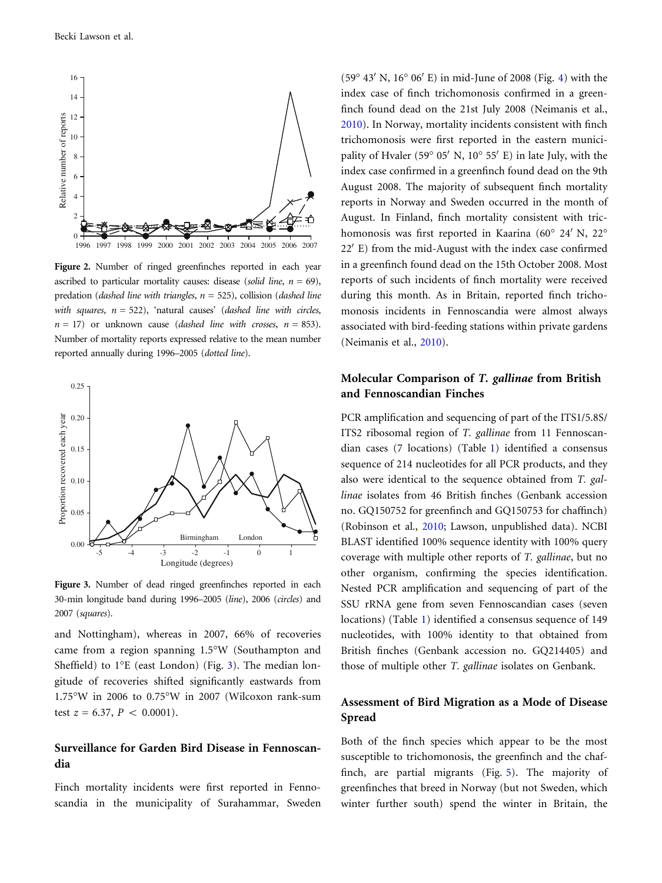<span id="page-5-0"></span>

Figure 2. Number of ringed greenfinches reported in each year ascribed to particular mortality causes: disease (solid line,  $n = 69$ ), predation (dashed line with triangles,  $n = 525$ ), collision (dashed line with squares,  $n = 522$ ), 'natural causes' (dashed line with circles,  $n = 17$ ) or unknown cause (dashed line with crosses,  $n = 853$ ). Number of mortality reports expressed relative to the mean number reported annually during 1996–2005 (dotted line).



Figure 3. Number of dead ringed greenfinches reported in each 30-min longitude band during 1996–2005 (line), 2006 (circles) and 2007 (squares).

and Nottingham), whereas in 2007, 66% of recoveries came from a region spanning 1.5°W (Southampton and Sheffield) to  $1^{\circ}E$  (east London) (Fig. 3). The median longitude of recoveries shifted significantly eastwards from  $1.75^{\circ}$ W in 2006 to  $0.75^{\circ}$ W in 2007 (Wilcoxon rank-sum test  $z = 6.37$ ,  $P < 0.0001$ ).

# Surveillance for Garden Bird Disease in Fennoscandia

Finch mortality incidents were first reported in Fennoscandia in the municipality of Surahammar, Sweden

 $(59^{\circ} 43' N, 16^{\circ} 06' E)$  in mid-June of 2008 (Fig. [4\)](#page-6-0) with the index case of finch trichomonosis confirmed in a greenfinch found dead on the 21st July 2008 (Neimanis et al., [2010](#page-9-0)). In Norway, mortality incidents consistent with finch trichomonosis were first reported in the eastern municipality of Hvaler (59 $\degree$  05' N, 10 $\degree$  55' E) in late July, with the index case confirmed in a greenfinch found dead on the 9th August 2008. The majority of subsequent finch mortality reports in Norway and Sweden occurred in the month of August. In Finland, finch mortality consistent with trichomonosis was first reported in Kaarina ( $60^{\circ}$  24' N, 22°  $22'$  E) from the mid-August with the index case confirmed in a greenfinch found dead on the 15th October 2008. Most reports of such incidents of finch mortality were received during this month. As in Britain, reported finch trichomonosis incidents in Fennoscandia were almost always associated with bird-feeding stations within private gardens (Neimanis et al., [2010](#page-9-0)).

# Molecular Comparison of T. gallinae from British and Fennoscandian Finches

PCR amplification and sequencing of part of the ITS1/5.8S/ ITS2 ribosomal region of T. gallinae from 11 Fennoscandian cases (7 locations) (Table [1](#page-3-0)) identified a consensus sequence of 214 nucleotides for all PCR products, and they also were identical to the sequence obtained from T. gallinae isolates from 46 British finches (Genbank accession no. GQ150752 for greenfinch and GQ150753 for chaffinch) (Robinson et al., [2010;](#page-10-0) Lawson, unpublished data). NCBI BLAST identified 100% sequence identity with 100% query coverage with multiple other reports of T. gallinae, but no other organism, confirming the species identification. Nested PCR amplification and sequencing of part of the SSU rRNA gene from seven Fennoscandian cases (seven locations) (Table [1\)](#page-3-0) identified a consensus sequence of 149 nucleotides, with 100% identity to that obtained from British finches (Genbank accession no. GQ214405) and those of multiple other T. gallinae isolates on Genbank.

# Assessment of Bird Migration as a Mode of Disease Spread

Both of the finch species which appear to be the most susceptible to trichomonosis, the greenfinch and the chaffinch, are partial migrants (Fig. [5\)](#page-6-0). The majority of greenfinches that breed in Norway (but not Sweden, which winter further south) spend the winter in Britain, the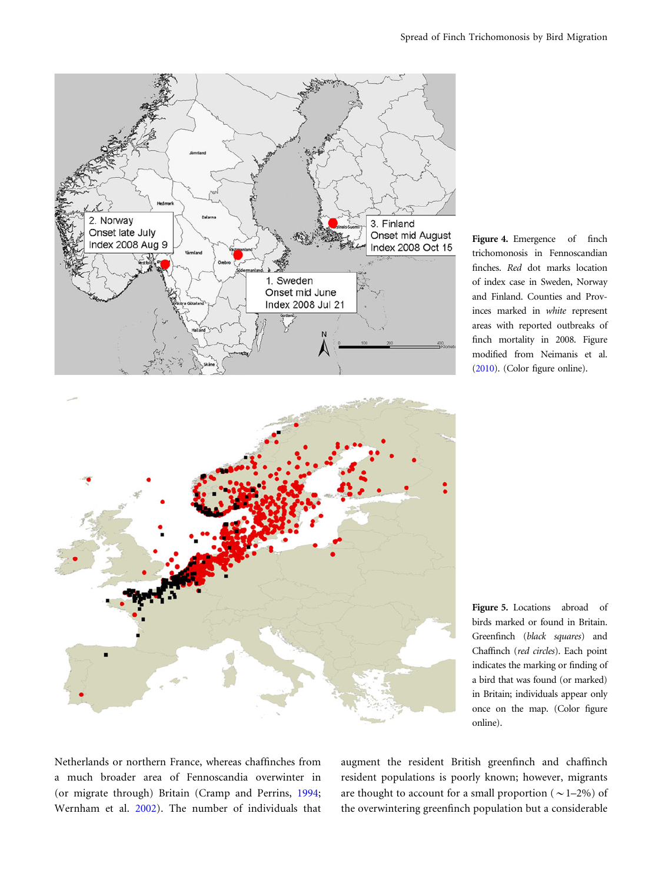<span id="page-6-0"></span>



Figure 4. Emergence of finch trichomonosis in Fennoscandian finches. Red dot marks location of index case in Sweden, Norway and Finland. Counties and Provinces marked in white represent areas with reported outbreaks of finch mortality in 2008. Figure modified from Neimanis et al. [\(2010](#page-9-0)). (Color figure online).

Figure 5. Locations abroad of birds marked or found in Britain. Greenfinch (black squares) and Chaffinch (red circles). Each point indicates the marking or finding of a bird that was found (or marked) in Britain; individuals appear only once on the map. (Color figure online).

Netherlands or northern France, whereas chaffinches from a much broader area of Fennoscandia overwinter in (or migrate through) Britain (Cramp and Perrins, [1994;](#page-9-0) Wernham et al. [2002](#page-10-0)). The number of individuals that

augment the resident British greenfinch and chaffinch resident populations is poorly known; however, migrants are thought to account for a small proportion ( $\sim$  1–2%) of the overwintering greenfinch population but a considerable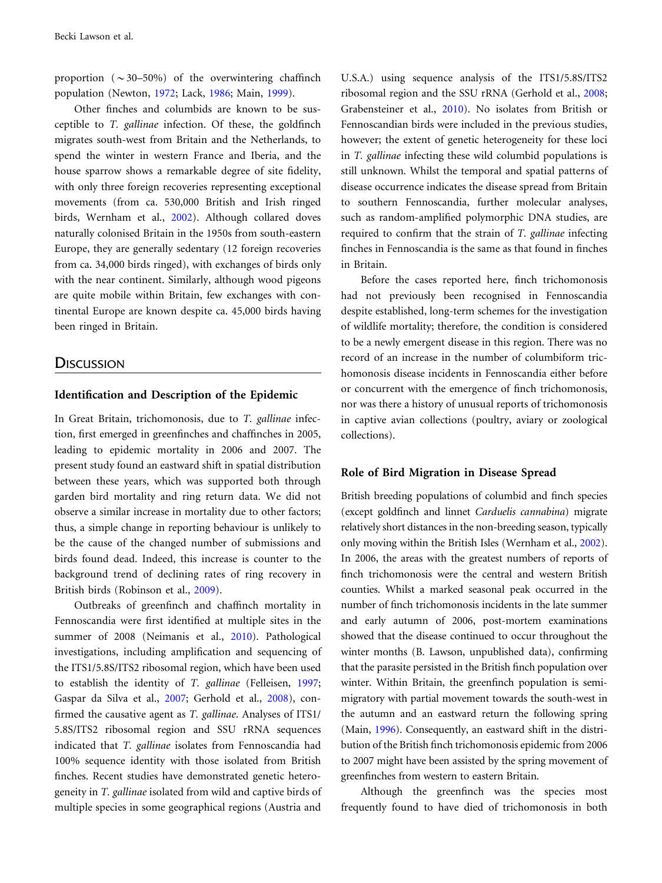proportion ( $\sim$ 30–50%) of the overwintering chaffinch population (Newton, [1972](#page-9-0); Lack, [1986;](#page-9-0) Main, [1999\)](#page-9-0).

Other finches and columbids are known to be susceptible to T. gallinae infection. Of these, the goldfinch migrates south-west from Britain and the Netherlands, to spend the winter in western France and Iberia, and the house sparrow shows a remarkable degree of site fidelity, with only three foreign recoveries representing exceptional movements (from ca. 530,000 British and Irish ringed birds, Wernham et al., [2002\)](#page-10-0). Although collared doves naturally colonised Britain in the 1950s from south-eastern Europe, they are generally sedentary (12 foreign recoveries from ca. 34,000 birds ringed), with exchanges of birds only with the near continent. Similarly, although wood pigeons are quite mobile within Britain, few exchanges with continental Europe are known despite ca. 45,000 birds having been ringed in Britain.

### **DISCUSSION**

#### Identification and Description of the Epidemic

In Great Britain, trichomonosis, due to T. gallinae infection, first emerged in greenfinches and chaffinches in 2005, leading to epidemic mortality in 2006 and 2007. The present study found an eastward shift in spatial distribution between these years, which was supported both through garden bird mortality and ring return data. We did not observe a similar increase in mortality due to other factors; thus, a simple change in reporting behaviour is unlikely to be the cause of the changed number of submissions and birds found dead. Indeed, this increase is counter to the background trend of declining rates of ring recovery in British birds (Robinson et al., [2009](#page-10-0)).

Outbreaks of greenfinch and chaffinch mortality in Fennoscandia were first identified at multiple sites in the summer of 2008 (Neimanis et al., [2010](#page-9-0)). Pathological investigations, including amplification and sequencing of the ITS1/5.8S/ITS2 ribosomal region, which have been used to establish the identity of T. gallinae (Felleisen, [1997;](#page-9-0) Gaspar da Silva et al., [2007;](#page-9-0) Gerhold et al., [2008\)](#page-9-0), confirmed the causative agent as T. gallinae. Analyses of ITS1/ 5.8S/ITS2 ribosomal region and SSU rRNA sequences indicated that T. gallinae isolates from Fennoscandia had 100% sequence identity with those isolated from British finches. Recent studies have demonstrated genetic heterogeneity in T. gallinae isolated from wild and captive birds of multiple species in some geographical regions (Austria and

U.S.A.) using sequence analysis of the ITS1/5.8S/ITS2 ribosomal region and the SSU rRNA (Gerhold et al., [2008;](#page-9-0) Grabensteiner et al., [2010\)](#page-9-0). No isolates from British or Fennoscandian birds were included in the previous studies, however; the extent of genetic heterogeneity for these loci in T. gallinae infecting these wild columbid populations is still unknown. Whilst the temporal and spatial patterns of disease occurrence indicates the disease spread from Britain to southern Fennoscandia, further molecular analyses, such as random-amplified polymorphic DNA studies, are required to confirm that the strain of T. gallinae infecting finches in Fennoscandia is the same as that found in finches in Britain.

Before the cases reported here, finch trichomonosis had not previously been recognised in Fennoscandia despite established, long-term schemes for the investigation of wildlife mortality; therefore, the condition is considered to be a newly emergent disease in this region. There was no record of an increase in the number of columbiform trichomonosis disease incidents in Fennoscandia either before or concurrent with the emergence of finch trichomonosis, nor was there a history of unusual reports of trichomonosis in captive avian collections (poultry, aviary or zoological collections).

#### Role of Bird Migration in Disease Spread

British breeding populations of columbid and finch species (except goldfinch and linnet Carduelis cannabina) migrate relatively short distances in the non-breeding season, typically only moving within the British Isles (Wernham et al., [2002](#page-10-0)). In 2006, the areas with the greatest numbers of reports of finch trichomonosis were the central and western British counties. Whilst a marked seasonal peak occurred in the number of finch trichomonosis incidents in the late summer and early autumn of 2006, post-mortem examinations showed that the disease continued to occur throughout the winter months (B. Lawson, unpublished data), confirming that the parasite persisted in the British finch population over winter. Within Britain, the greenfinch population is semimigratory with partial movement towards the south-west in the autumn and an eastward return the following spring (Main, [1996\)](#page-9-0). Consequently, an eastward shift in the distribution of the British finch trichomonosis epidemic from 2006 to 2007 might have been assisted by the spring movement of greenfinches from western to eastern Britain.

Although the greenfinch was the species most frequently found to have died of trichomonosis in both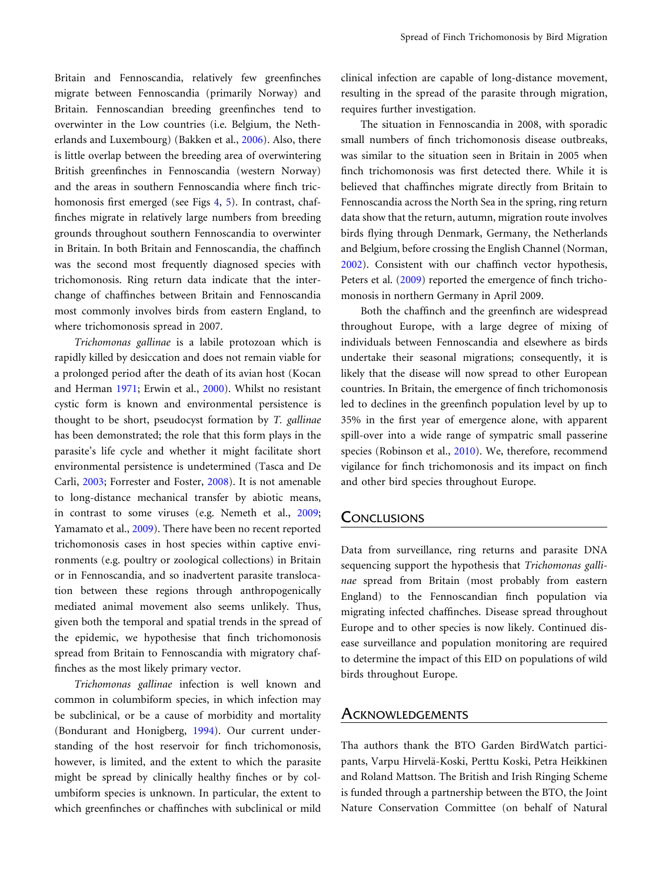Britain and Fennoscandia, relatively few greenfinches migrate between Fennoscandia (primarily Norway) and Britain. Fennoscandian breeding greenfinches tend to overwinter in the Low countries (i.e. Belgium, the Netherlands and Luxembourg) (Bakken et al., [2006](#page-9-0)). Also, there is little overlap between the breeding area of overwintering British greenfinches in Fennoscandia (western Norway) and the areas in southern Fennoscandia where finch trichomonosis first emerged (see Figs [4,](#page-6-0) [5](#page-6-0)). In contrast, chaffinches migrate in relatively large numbers from breeding grounds throughout southern Fennoscandia to overwinter in Britain. In both Britain and Fennoscandia, the chaffinch was the second most frequently diagnosed species with trichomonosis. Ring return data indicate that the interchange of chaffinches between Britain and Fennoscandia most commonly involves birds from eastern England, to where trichomonosis spread in 2007.

Trichomonas gallinae is a labile protozoan which is rapidly killed by desiccation and does not remain viable for a prolonged period after the death of its avian host (Kocan and Herman [1971](#page-9-0); Erwin et al., [2000](#page-9-0)). Whilst no resistant cystic form is known and environmental persistence is thought to be short, pseudocyst formation by T. gallinae has been demonstrated; the role that this form plays in the parasite's life cycle and whether it might facilitate short environmental persistence is undetermined (Tasca and De Carli, [2003](#page-10-0); Forrester and Foster, [2008](#page-9-0)). It is not amenable to long-distance mechanical transfer by abiotic means, in contrast to some viruses (e.g. Nemeth et al., [2009;](#page-9-0) Yamamato et al., [2009\)](#page-10-0). There have been no recent reported trichomonosis cases in host species within captive environments (e.g. poultry or zoological collections) in Britain or in Fennoscandia, and so inadvertent parasite translocation between these regions through anthropogenically mediated animal movement also seems unlikely. Thus, given both the temporal and spatial trends in the spread of the epidemic, we hypothesise that finch trichomonosis spread from Britain to Fennoscandia with migratory chaffinches as the most likely primary vector.

Trichomonas gallinae infection is well known and common in columbiform species, in which infection may be subclinical, or be a cause of morbidity and mortality (Bondurant and Honigberg, [1994](#page-9-0)). Our current understanding of the host reservoir for finch trichomonosis, however, is limited, and the extent to which the parasite might be spread by clinically healthy finches or by columbiform species is unknown. In particular, the extent to which greenfinches or chaffinches with subclinical or mild

clinical infection are capable of long-distance movement, resulting in the spread of the parasite through migration, requires further investigation.

The situation in Fennoscandia in 2008, with sporadic small numbers of finch trichomonosis disease outbreaks, was similar to the situation seen in Britain in 2005 when finch trichomonosis was first detected there. While it is believed that chaffinches migrate directly from Britain to Fennoscandia across the North Sea in the spring, ring return data show that the return, autumn, migration route involves birds flying through Denmark, Germany, the Netherlands and Belgium, before crossing the English Channel (Norman, [2002](#page-9-0)). Consistent with our chaffinch vector hypothesis, Peters et al. [\(2009](#page-10-0)) reported the emergence of finch trichomonosis in northern Germany in April 2009.

Both the chaffinch and the greenfinch are widespread throughout Europe, with a large degree of mixing of individuals between Fennoscandia and elsewhere as birds undertake their seasonal migrations; consequently, it is likely that the disease will now spread to other European countries. In Britain, the emergence of finch trichomonosis led to declines in the greenfinch population level by up to 35% in the first year of emergence alone, with apparent spill-over into a wide range of sympatric small passerine species (Robinson et al., [2010\)](#page-10-0). We, therefore, recommend vigilance for finch trichomonosis and its impact on finch and other bird species throughout Europe.

## **CONCLUSIONS**

Data from surveillance, ring returns and parasite DNA sequencing support the hypothesis that Trichomonas gallinae spread from Britain (most probably from eastern England) to the Fennoscandian finch population via migrating infected chaffinches. Disease spread throughout Europe and to other species is now likely. Continued disease surveillance and population monitoring are required to determine the impact of this EID on populations of wild birds throughout Europe.

#### **ACKNOWLEDGEMENTS**

Tha authors thank the BTO Garden BirdWatch participants, Varpu Hirvela¨-Koski, Perttu Koski, Petra Heikkinen and Roland Mattson. The British and Irish Ringing Scheme is funded through a partnership between the BTO, the Joint Nature Conservation Committee (on behalf of Natural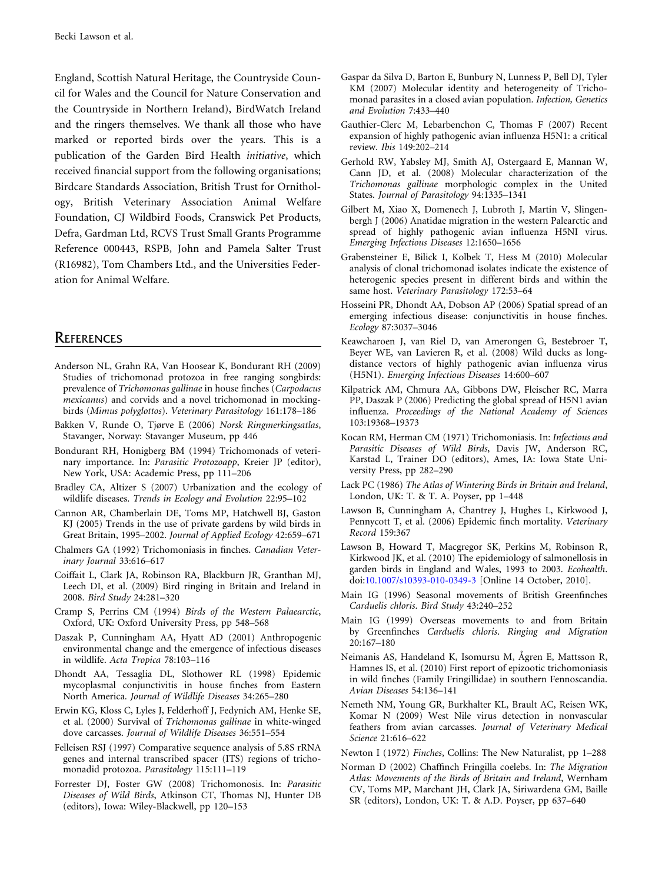<span id="page-9-0"></span>England, Scottish Natural Heritage, the Countryside Council for Wales and the Council for Nature Conservation and the Countryside in Northern Ireland), BirdWatch Ireland and the ringers themselves. We thank all those who have marked or reported birds over the years. This is a publication of the Garden Bird Health initiative, which received financial support from the following organisations; Birdcare Standards Association, British Trust for Ornithology, British Veterinary Association Animal Welfare Foundation, CJ Wildbird Foods, Cranswick Pet Products, Defra, Gardman Ltd, RCVS Trust Small Grants Programme Reference 000443, RSPB, John and Pamela Salter Trust (R16982), Tom Chambers Ltd., and the Universities Federation for Animal Welfare.

## **REFERENCES**

- Anderson NL, Grahn RA, Van Hoosear K, Bondurant RH (2009) Studies of trichomonad protozoa in free ranging songbirds: prevalence of Trichomonas gallinae in house finches (Carpodacus mexicanus) and corvids and a novel trichomonad in mockingbirds (Mimus polyglottos). Veterinary Parasitology 161:178–186
- Bakken V, Runde O, Tjørve E (2006) Norsk Ringmerkingsatlas, Stavanger, Norway: Stavanger Museum, pp 446
- Bondurant RH, Honigberg BM (1994) Trichomonads of veterinary importance. In: Parasitic Protozoapp, Kreier JP (editor), New York, USA: Academic Press, pp 111–206
- Bradley CA, Altizer S (2007) Urbanization and the ecology of wildlife diseases. Trends in Ecology and Evolution 22:95–102
- Cannon AR, Chamberlain DE, Toms MP, Hatchwell BJ, Gaston KJ (2005) Trends in the use of private gardens by wild birds in Great Britain, 1995–2002. Journal of Applied Ecology 42:659–671
- Chalmers GA (1992) Trichomoniasis in finches. Canadian Veterinary Journal 33:616–617
- Coiffait L, Clark JA, Robinson RA, Blackburn JR, Granthan MJ, Leech DI, et al. (2009) Bird ringing in Britain and Ireland in 2008. Bird Study 24:281–320
- Cramp S, Perrins CM (1994) Birds of the Western Palaearctic, Oxford, UK: Oxford University Press, pp 548–568
- Daszak P, Cunningham AA, Hyatt AD (2001) Anthropogenic environmental change and the emergence of infectious diseases in wildlife. Acta Tropica 78:103–116
- Dhondt AA, Tessaglia DL, Slothower RL (1998) Epidemic mycoplasmal conjunctivitis in house finches from Eastern North America. Journal of Wildlife Diseases 34:265–280
- Erwin KG, Kloss C, Lyles J, Felderhoff J, Fedynich AM, Henke SE, et al. (2000) Survival of Trichomonas gallinae in white-winged dove carcasses. Journal of Wildlife Diseases 36:551–554
- Felleisen RSJ (1997) Comparative sequence analysis of 5.8S rRNA genes and internal transcribed spacer (ITS) regions of trichomonadid protozoa. Parasitology 115:111–119
- Forrester DJ, Foster GW (2008) Trichomonosis. In: Parasitic Diseases of Wild Birds, Atkinson CT, Thomas NJ, Hunter DB (editors), Iowa: Wiley-Blackwell, pp 120–153
- Gaspar da Silva D, Barton E, Bunbury N, Lunness P, Bell DJ, Tyler KM (2007) Molecular identity and heterogeneity of Trichomonad parasites in a closed avian population. Infection, Genetics and Evolution 7:433–440
- Gauthier-Clerc M, Lebarbenchon C, Thomas F (2007) Recent expansion of highly pathogenic avian influenza H5N1: a critical review. Ibis 149:202–214
- Gerhold RW, Yabsley MJ, Smith AJ, Ostergaard E, Mannan W, Cann JD, et al. (2008) Molecular characterization of the Trichomonas gallinae morphologic complex in the United States. Journal of Parasitology 94:1335–1341
- Gilbert M, Xiao X, Domenech J, Lubroth J, Martin V, Slingenbergh J (2006) Anatidae migration in the western Palearctic and spread of highly pathogenic avian influenza H5NI virus. Emerging Infectious Diseases 12:1650–1656
- Grabensteiner E, Bilick I, Kolbek T, Hess M (2010) Molecular analysis of clonal trichomonad isolates indicate the existence of heterogenic species present in different birds and within the same host. Veterinary Parasitology 172:53–64
- Hosseini PR, Dhondt AA, Dobson AP (2006) Spatial spread of an emerging infectious disease: conjunctivitis in house finches. Ecology 87:3037–3046
- Keawcharoen J, van Riel D, van Amerongen G, Bestebroer T, Beyer WE, van Lavieren R, et al. (2008) Wild ducks as longdistance vectors of highly pathogenic avian influenza virus (H5N1). Emerging Infectious Diseases 14:600–607
- Kilpatrick AM, Chmura AA, Gibbons DW, Fleischer RC, Marra PP, Daszak P (2006) Predicting the global spread of H5N1 avian influenza. Proceedings of the National Academy of Sciences 103:19368–19373
- Kocan RM, Herman CM (1971) Trichomoniasis. In: Infectious and Parasitic Diseases of Wild Birds, Davis JW, Anderson RC, Karstad L, Trainer DO (editors), Ames, IA: Iowa State University Press, pp 282–290
- Lack PC (1986) The Atlas of Wintering Birds in Britain and Ireland, London, UK: T. & T. A. Poyser, pp 1–448
- Lawson B, Cunningham A, Chantrey J, Hughes L, Kirkwood J, Pennycott T, et al. (2006) Epidemic finch mortality. Veterinary Record 159:367
- Lawson B, Howard T, Macgregor SK, Perkins M, Robinson R, Kirkwood JK, et al. (2010) The epidemiology of salmonellosis in garden birds in England and Wales, 1993 to 2003. Ecohealth. doi:[10.1007/s10393-010-0349-3](http://dx.doi.org/10.1007/s10393-010-0349-3) [Online 14 October, 2010].
- Main IG (1996) Seasonal movements of British Greenfinches Carduelis chloris. Bird Study 43:240–252
- Main IG (1999) Overseas movements to and from Britain by Greenfinches Carduelis chloris. Ringing and Migration 20:167–180
- Neimanis AS, Handeland K, Isomursu M, Agren E, Mattsson R, Hamnes IS, et al. (2010) First report of epizootic trichomoniasis in wild finches (Family Fringillidae) in southern Fennoscandia. Avian Diseases 54:136–141
- Nemeth NM, Young GR, Burkhalter KL, Brault AC, Reisen WK, Komar N (2009) West Nile virus detection in nonvascular feathers from avian carcasses. Journal of Veterinary Medical Science 21:616–622
- Newton I (1972) Finches, Collins: The New Naturalist, pp 1–288
- Norman D (2002) Chaffinch Fringilla coelebs. In: The Migration Atlas: Movements of the Birds of Britain and Ireland, Wernham CV, Toms MP, Marchant JH, Clark JA, Siriwardena GM, Baille SR (editors), London, UK: T. & A.D. Poyser, pp 637–640